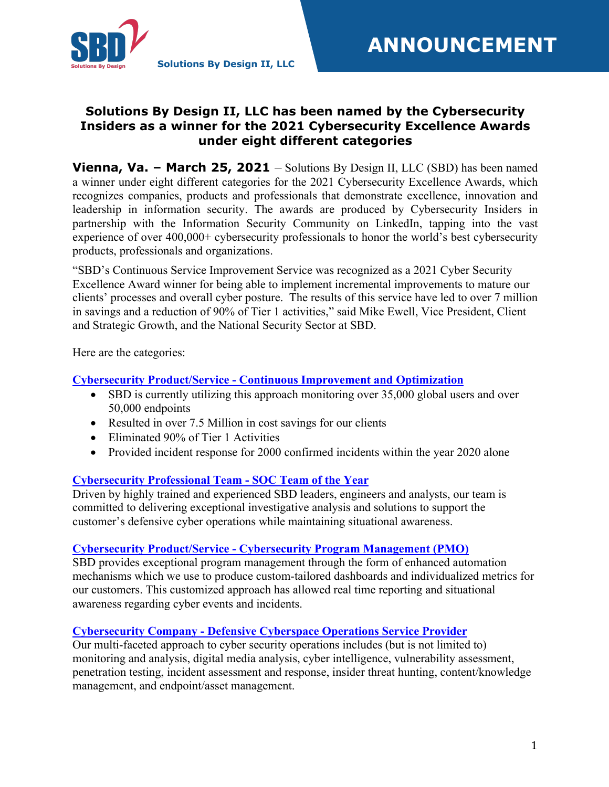

# **Solutions By Design II, LLC has been named by the Cybersecurity Insiders as a winner for the 2021 Cybersecurity Excellence Awards under eight different categories**

**Vienna, Va. – March 25, 2021** – Solutions By Design II, LLC (SBD) has been named a winner under eight different categories for the 2021 Cybersecurity Excellence Awards, which recognizes companies, products and professionals that demonstrate excellence, innovation and leadership in information security. The awards are produced by Cybersecurity Insiders in partnership with the Information Security Community on LinkedIn, tapping into the vast experience of over 400,000+ cybersecurity professionals to honor the world's best cybersecurity products, professionals and organizations.

"SBD's Continuous Service Improvement Service was recognized as a 2021 Cyber Security Excellence Award winner for being able to implement incremental improvements to mature our clients' processes and overall cyber posture. The results of this service have led to over 7 million in savings and a reduction of 90% of Tier 1 activities," said Mike Ewell, Vice President, Client and Strategic Growth, and the National Security Sector at SBD.

Here are the categories:

# **Cybersecurity Product/Service - Continuous Improvement and Optimization**

- SBD is currently utilizing this approach monitoring over 35,000 global users and over 50,000 endpoints
- Resulted in over 7.5 Million in cost savings for our clients
- Eliminated 90% of Tier 1 Activities
- Provided incident response for 2000 confirmed incidents within the year 2020 alone

## **Cybersecurity Professional Team - SOC Team of the Year**

Driven by highly trained and experienced SBD leaders, engineers and analysts, our team is committed to delivering exceptional investigative analysis and solutions to support the customer's defensive cyber operations while maintaining situational awareness.

## **Cybersecurity Product/Service - Cybersecurity Program Management (PMO)**

SBD provides exceptional program management through the form of enhanced automation mechanisms which we use to produce custom-tailored dashboards and individualized metrics for our customers. This customized approach has allowed real time reporting and situational awareness regarding cyber events and incidents.

## **Cybersecurity Company - Defensive Cyberspace Operations Service Provider**

Our multi-faceted approach to cyber security operations includes (but is not limited to) monitoring and analysis, digital media analysis, cyber intelligence, vulnerability assessment, penetration testing, incident assessment and response, insider threat hunting, content/knowledge management, and endpoint/asset management.